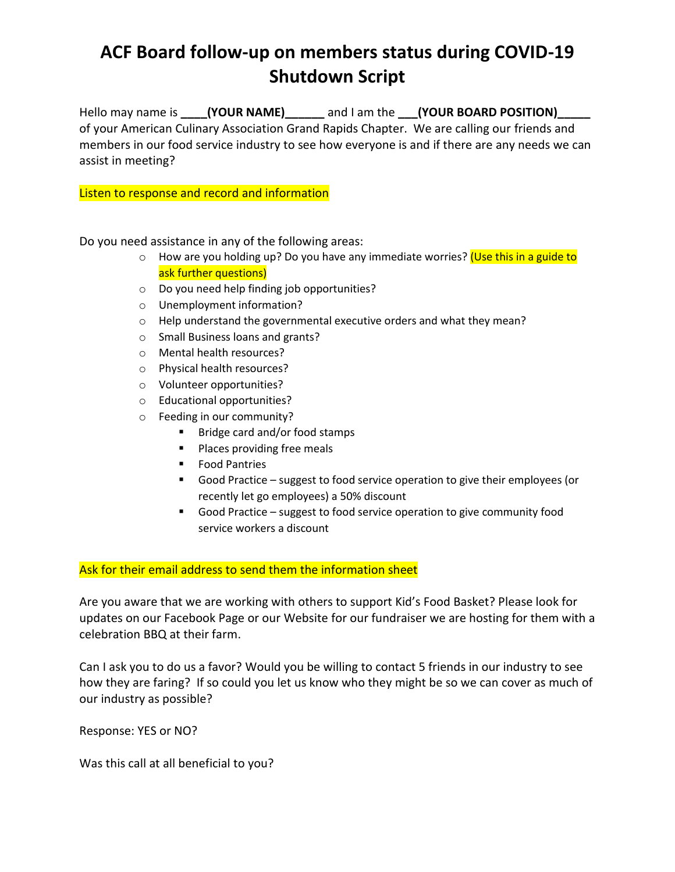## **ACF Board follow-up on members status during COVID-19 Shutdown Script**

Hello may name is **(YOUR NAME)** and I am the **(YOUR BOARD POSITION)** of your American Culinary Association Grand Rapids Chapter. We are calling our friends and members in our food service industry to see how everyone is and if there are any needs we can assist in meeting?

## Listen to response and record and information

Do you need assistance in any of the following areas:

- o How are you holding up? Do you have any immediate worries? (Use this in a guide to ask further questions)
- o Do you need help finding job opportunities?
- o Unemployment information?
- o Help understand the governmental executive orders and what they mean?
- o Small Business loans and grants?
- o Mental health resources?
- o Physical health resources?
- o Volunteer opportunities?
- o Educational opportunities?
- o Feeding in our community?
	- Bridge card and/or food stamps
	- Places providing free meals
	- Food Pantries
	- Good Practice suggest to food service operation to give their employees (or recently let go employees) a 50% discount
	- Good Practice suggest to food service operation to give community food service workers a discount

## Ask for their email address to send them the information sheet

Are you aware that we are working with others to support Kid's Food Basket? Please look for updates on our Facebook Page or our Website for our fundraiser we are hosting for them with a celebration BBQ at their farm.

Can I ask you to do us a favor? Would you be willing to contact 5 friends in our industry to see how they are faring? If so could you let us know who they might be so we can cover as much of our industry as possible?

Response: YES or NO?

Was this call at all beneficial to you?